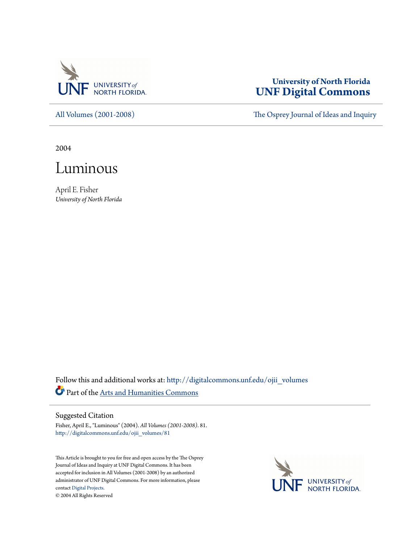

## **University of North Florida [UNF Digital Commons](http://digitalcommons.unf.edu?utm_source=digitalcommons.unf.edu%2Fojii_volumes%2F81&utm_medium=PDF&utm_campaign=PDFCoverPages)**

[All Volumes \(2001-2008\)](http://digitalcommons.unf.edu/ojii_volumes?utm_source=digitalcommons.unf.edu%2Fojii_volumes%2F81&utm_medium=PDF&utm_campaign=PDFCoverPages) [The Osprey Journal of Ideas and Inquiry](http://digitalcommons.unf.edu/ojii?utm_source=digitalcommons.unf.edu%2Fojii_volumes%2F81&utm_medium=PDF&utm_campaign=PDFCoverPages)

2004



April E. Fisher *University of North Florida*

Follow this and additional works at: [http://digitalcommons.unf.edu/ojii\\_volumes](http://digitalcommons.unf.edu/ojii_volumes?utm_source=digitalcommons.unf.edu%2Fojii_volumes%2F81&utm_medium=PDF&utm_campaign=PDFCoverPages) Part of the [Arts and Humanities Commons](http://network.bepress.com/hgg/discipline/438?utm_source=digitalcommons.unf.edu%2Fojii_volumes%2F81&utm_medium=PDF&utm_campaign=PDFCoverPages)

## Suggested Citation

Fisher, April E., "Luminous" (2004). *All Volumes (2001-2008)*. 81. [http://digitalcommons.unf.edu/ojii\\_volumes/81](http://digitalcommons.unf.edu/ojii_volumes/81?utm_source=digitalcommons.unf.edu%2Fojii_volumes%2F81&utm_medium=PDF&utm_campaign=PDFCoverPages)

This Article is brought to you for free and open access by the The Osprey Journal of Ideas and Inquiry at UNF Digital Commons. It has been accepted for inclusion in All Volumes (2001-2008) by an authorized administrator of UNF Digital Commons. For more information, please contact [Digital Projects.](mailto:lib-digital@unf.edu) © 2004 All Rights Reserved

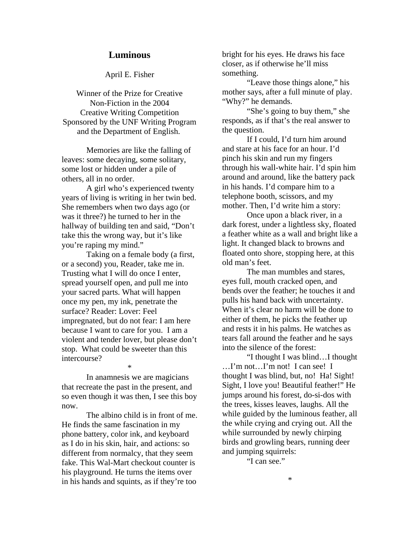## **Luminous**

April E. Fisher

Winner of the Prize for Creative Non-Fiction in the 2004 Creative Writing Competition Sponsored by the UNF Writing Program and the Department of English.

Memories are like the falling of leaves: some decaying, some solitary, some lost or hidden under a pile of others, all in no order.

A girl who's experienced twenty years of living is writing in her twin bed. She remembers when two days ago (or was it three?) he turned to her in the hallway of building ten and said, "Don't take this the wrong way, but it's like you're raping my mind."

Taking on a female body (a first, or a second) you, Reader, take me in. Trusting what I will do once I enter, spread yourself open, and pull me into your sacred parts. What will happen once my pen, my ink, penetrate the surface? Reader: Lover: Feel impregnated, but do not fear: I am here because I want to care for you. I am a violent and tender lover, but please don't stop. What could be sweeter than this intercourse?

In anamnesis we are magicians that recreate the past in the present, and so even though it was then, I see this boy now.

\*

The albino child is in front of me. He finds the same fascination in my phone battery, color ink, and keyboard as I do in his skin, hair, and actions: so different from normalcy, that they seem fake. This Wal-Mart checkout counter is his playground. He turns the items over in his hands and squints, as if they're too

bright for his eyes. He draws his face closer, as if otherwise he'll miss something.

"Leave those things alone," his mother says, after a full minute of play. "Why?" he demands.

"She's going to buy them," she responds, as if that's the real answer to the question.

If I could, I'd turn him around and stare at his face for an hour. I'd pinch his skin and run my fingers through his wall-white hair. I'd spin him around and around, like the battery pack in his hands. I'd compare him to a telephone booth, scissors, and my mother. Then, I'd write him a story:

Once upon a black river, in a dark forest, under a lightless sky, floated a feather white as a wall and bright like a light. It changed black to browns and floated onto shore, stopping here, at this old man's feet.

The man mumbles and stares, eyes full, mouth cracked open, and bends over the feather; he touches it and pulls his hand back with uncertainty. When it's clear no harm will be done to either of them, he picks the feather up and rests it in his palms. He watches as tears fall around the feather and he says into the silence of the forest:

"I thought I was blind…I thought …I'm not…I'm not! I can see! I thought I was blind, but, no! Ha! Sight! Sight, I love you! Beautiful feather!" He jumps around his forest, do-si-dos with the trees, kisses leaves, laughs. All the while guided by the luminous feather, all the while crying and crying out. All the while surrounded by newly chirping birds and growling bears, running deer and jumping squirrels:

"I can see."

\*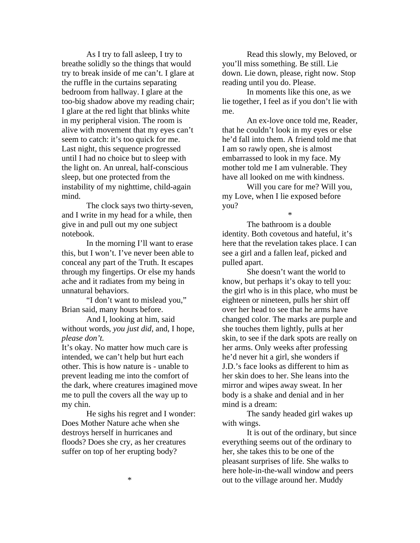As I try to fall asleep, I try to breathe solidly so the things that would try to break inside of me can't. I glare at the ruffle in the curtains separating bedroom from hallway. I glare at the too-big shadow above my reading chair; I glare at the red light that blinks white in my peripheral vision. The room is alive with movement that my eyes can't seem to catch: it's too quick for me. Last night, this sequence progressed until I had no choice but to sleep with the light on. An unreal, half-conscious sleep, but one protected from the instability of my nighttime, child-again mind.

The clock says two thirty-seven, and I write in my head for a while, then give in and pull out my one subject notebook.

In the morning I'll want to erase this, but I won't. I've never been able to conceal any part of the Truth. It escapes through my fingertips. Or else my hands ache and it radiates from my being in unnatural behaviors.

"I don't want to mislead you," Brian said, many hours before.

And I, looking at him, said without words, *you just did*, and, I hope, *please don't.*

It's okay. No matter how much care is intended, we can't help but hurt each other. This is how nature is - unable to prevent leading me into the comfort of the dark, where creatures imagined move me to pull the covers all the way up to my chin.

He sighs his regret and I wonder: Does Mother Nature ache when she destroys herself in hurricanes and floods? Does she cry, as her creatures suffer on top of her erupting body?

Read this slowly, my Beloved, or you'll miss something. Be still. Lie down. Lie down, please, right now. Stop reading until you do. Please.

In moments like this one, as we lie together, I feel as if you don't lie with me.

An ex-love once told me, Reader, that he couldn't look in my eyes or else he'd fall into them. A friend told me that I am so rawly open, she is almost embarrassed to look in my face. My mother told me I am vulnerable. They have all looked on me with kindness.

Will you care for me? Will you, my Love, when I lie exposed before you?

The bathroom is a double identity. Both covetous and hateful, it's here that the revelation takes place. I can see a girl and a fallen leaf, picked and pulled apart.

\*

She doesn't want the world to know, but perhaps it's okay to tell you: the girl who is in this place, who must be eighteen or nineteen, pulls her shirt off over her head to see that he arms have changed color. The marks are purple and she touches them lightly, pulls at her skin, to see if the dark spots are really on her arms. Only weeks after professing he'd never hit a girl, she wonders if J.D.'s face looks as different to him as her skin does to her. She leans into the mirror and wipes away sweat. In her body is a shake and denial and in her mind is a dream:

The sandy headed girl wakes up with wings.

It is out of the ordinary, but since everything seems out of the ordinary to her, she takes this to be one of the pleasant surprises of life. She walks to here hole-in-the-wall window and peers out to the village around her. Muddy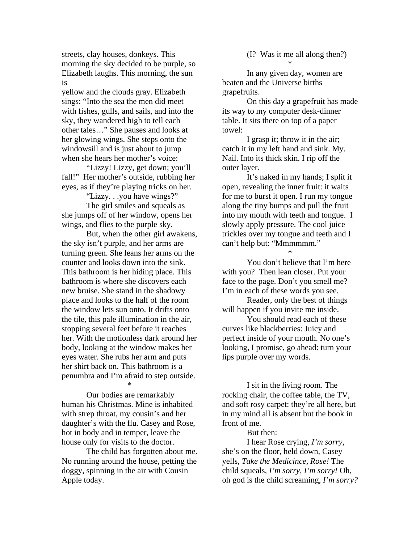streets, clay houses, donkeys. This morning the sky decided to be purple, so Elizabeth laughs. This morning, the sun is

yellow and the clouds gray. Elizabeth sings: "Into the sea the men did meet with fishes, gulls, and sails, and into the sky, they wandered high to tell each other tales…" She pauses and looks at her glowing wings. She steps onto the windowsill and is just about to jump when she hears her mother's voice:

"Lizzy! Lizzy, get down; you'll fall!" Her mother's outside, rubbing her eyes, as if they're playing tricks on her.

"Lizzy. . .you have wings?"

The girl smiles and squeals as she jumps off of her window, opens her wings, and flies to the purple sky.

But, when the other girl awakens, the sky isn't purple, and her arms are turning green. She leans her arms on the counter and looks down into the sink. This bathroom is her hiding place. This bathroom is where she discovers each new bruise. She stand in the shadowy place and looks to the half of the room the window lets sun onto. It drifts onto the tile, this pale illumination in the air, stopping several feet before it reaches her. With the motionless dark around her body, looking at the window makes her eyes water. She rubs her arm and puts her shirt back on. This bathroom is a penumbra and I'm afraid to step outside.

\* Our bodies are remarkably human his Christmas. Mine is inhabited with strep throat, my cousin's and her daughter's with the flu. Casey and Rose, hot in body and in temper, leave the house only for visits to the doctor.

The child has forgotten about me. No running around the house, petting the doggy, spinning in the air with Cousin Apple today.

(I? Was it me all along then?) \*

In any given day, women are beaten and the Universe births grapefruits.

On this day a grapefruit has made its way to my computer desk-dinner table. It sits there on top of a paper towel:

I grasp it; throw it in the air; catch it in my left hand and sink. My. Nail. Into its thick skin. I rip off the outer layer.

It's naked in my hands; I split it open, revealing the inner fruit: it waits for me to burst it open. I run my tongue along the tiny bumps and pull the fruit into my mouth with teeth and tongue. I slowly apply pressure. The cool juice trickles over my tongue and teeth and I can't help but: "Mmmmmm."

You don't believe that I'm here with you? Then lean closer. Put your face to the page. Don't you smell me? I'm in each of these words you see.

\*

Reader, only the best of things will happen if you invite me inside.

You should read each of these curves like blackberries: Juicy and perfect inside of your mouth. No one's looking, I promise, go ahead: turn your lips purple over my words.

I sit in the living room. The rocking chair, the coffee table, the TV, and soft rosy carpet: they're all here, but in my mind all is absent but the book in front of me.

But then:

I hear Rose crying, *I'm sorry*, she's on the floor, held down, Casey yells, *Take the Medicince, Rose!* The child squeals, *I'm sorry, I'm sorry!* Oh, oh god is the child screaming, *I'm sorry?*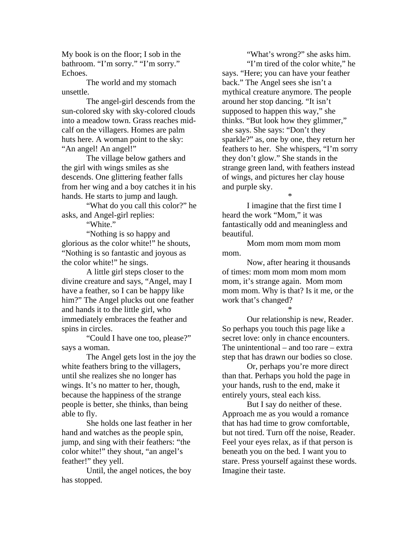My book is on the floor; I sob in the bathroom. "I'm sorry." "I'm sorry." Echoes.

The world and my stomach unsettle.

The angel-girl descends from the sun-colored sky with sky-colored clouds into a meadow town. Grass reaches midcalf on the villagers. Homes are palm huts here. A woman point to the sky: "An angel! An angel!"

The village below gathers and the girl with wings smiles as she descends. One glittering feather falls from her wing and a boy catches it in his hands. He starts to jump and laugh.

"What do you call this color?" he asks, and Angel-girl replies:

"White."

"Nothing is so happy and glorious as the color white!" he shouts, "Nothing is so fantastic and joyous as the color white!" he sings.

A little girl steps closer to the divine creature and says, "Angel, may I have a feather, so I can be happy like him?" The Angel plucks out one feather and hands it to the little girl, who immediately embraces the feather and spins in circles.

"Could I have one too, please?" says a woman.

The Angel gets lost in the joy the white feathers bring to the villagers, until she realizes she no longer has wings. It's no matter to her, though, because the happiness of the strange people is better, she thinks, than being able to fly.

She holds one last feather in her hand and watches as the people spin, jump, and sing with their feathers: "the color white!" they shout, "an angel's feather!" they yell.

Until, the angel notices, the boy has stopped.

"What's wrong?" she asks him. "I'm tired of the color white," he says. "Here; you can have your feather back." The Angel sees she isn't a mythical creature anymore. The people around her stop dancing. "It isn't supposed to happen this way," she thinks. "But look how they glimmer," she says. She says: "Don't they sparkle?" as, one by one, they return her feathers to her. She whispers, "I'm sorry they don't glow." She stands in the strange green land, with feathers instead of wings, and pictures her clay house and purple sky.

I imagine that the first time I heard the work "Mom," it was fantastically odd and meaningless and beautiful.

\*

Mom mom mom mom mom mom.

Now, after hearing it thousands of times: mom mom mom mom mom mom, it's strange again. Mom mom mom mom. Why is that? Is it me, or the work that's changed?

\*

Our relationship is new, Reader. So perhaps you touch this page like a secret love: only in chance encounters. The unintentional – and too rare – extra step that has drawn our bodies so close.

Or, perhaps you're more direct than that. Perhaps you hold the page in your hands, rush to the end, make it entirely yours, steal each kiss.

But I say do neither of these. Approach me as you would a romance that has had time to grow comfortable, but not tired. Turn off the noise, Reader. Feel your eyes relax, as if that person is beneath you on the bed. I want you to stare. Press yourself against these words. Imagine their taste.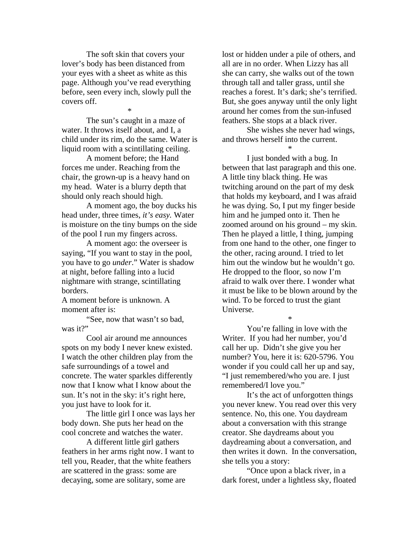The soft skin that covers your lover's body has been distanced from your eyes with a sheet as white as this page. Although you've read everything before, seen every inch, slowly pull the covers off.

The sun's caught in a maze of water. It throws itself about, and I, a child under its rim, do the same. Water is liquid room with a scintillating ceiling.

\*

A moment before; the Hand forces me under. Reaching from the chair, the grown-up is a heavy hand on my head. Water is a blurry depth that should only reach should high.

A moment ago, the boy ducks his head under, three times, *it's easy.* Water is moisture on the tiny bumps on the side of the pool I run my fingers across.

A moment ago: the overseer is saying, "If you want to stay in the pool, you have to go *under*." Water is shadow at night, before falling into a lucid nightmare with strange, scintillating borders.

A moment before is unknown. A moment after is:

"See, now that wasn't so bad, was it?"

Cool air around me announces spots on my body I never knew existed. I watch the other children play from the safe surroundings of a towel and concrete. The water sparkles differently now that I know what I know about the sun. It's not in the sky: it's right here, you just have to look for it.

The little girl I once was lays her body down. She puts her head on the cool concrete and watches the water.

A different little girl gathers feathers in her arms right now. I want to tell you, Reader, that the white feathers are scattered in the grass: some are decaying, some are solitary, some are

lost or hidden under a pile of others, and all are in no order. When Lizzy has all she can carry, she walks out of the town through tall and taller grass, until she reaches a forest. It's dark; she's terrified. But, she goes anyway until the only light around her comes from the sun-infused feathers. She stops at a black river.

She wishes she never had wings, and throws herself into the current.

\*

I just bonded with a bug. In between that last paragraph and this one. A little tiny black thing. He was twitching around on the part of my desk that holds my keyboard, and I was afraid he was dying. So, I put my finger beside him and he jumped onto it. Then he zoomed around on his ground – my skin. Then he played a little, I thing, jumping from one hand to the other, one finger to the other, racing around. I tried to let him out the window but he wouldn't go. He dropped to the floor, so now I'm afraid to walk over there. I wonder what it must be like to be blown around by the wind. To be forced to trust the giant Universe.

\*

You're falling in love with the Writer. If you had her number, you'd call her up. Didn't she give you her number? You, here it is: 620-5796. You wonder if you could call her up and say, "I just remembered/who you are. I just remembered/I love you."

It's the act of unforgotten things you never knew. You read over this very sentence. No, this one. You daydream about a conversation with this strange creator. She daydreams about you daydreaming about a conversation, and then writes it down. In the conversation, she tells you a story:

"Once upon a black river, in a dark forest, under a lightless sky, floated